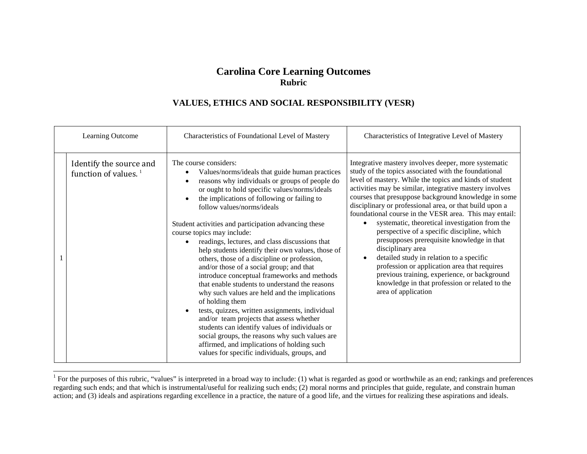## <span id="page-0-0"></span>**Carolina Core Learning Outcomes Rubric**

## **VALUES, ETHICS AND SOCIAL RESPONSIBILITY (VESR)**

| Learning Outcome |                                                    | Characteristics of Foundational Level of Mastery                                                                                                                                                                                                                                                                                                                                                                                                                                                                                                                                                                                                                                                                                                                                                                                                                                                                                                                                                                       | Characteristics of Integrative Level of Mastery                                                                                                                                                                                                                                                                                                                                                                                                                                                                                                                                                                                                                                                                                                                                                                       |
|------------------|----------------------------------------------------|------------------------------------------------------------------------------------------------------------------------------------------------------------------------------------------------------------------------------------------------------------------------------------------------------------------------------------------------------------------------------------------------------------------------------------------------------------------------------------------------------------------------------------------------------------------------------------------------------------------------------------------------------------------------------------------------------------------------------------------------------------------------------------------------------------------------------------------------------------------------------------------------------------------------------------------------------------------------------------------------------------------------|-----------------------------------------------------------------------------------------------------------------------------------------------------------------------------------------------------------------------------------------------------------------------------------------------------------------------------------------------------------------------------------------------------------------------------------------------------------------------------------------------------------------------------------------------------------------------------------------------------------------------------------------------------------------------------------------------------------------------------------------------------------------------------------------------------------------------|
|                  | Identify the source and<br>function of values. $1$ | The course considers:<br>Values/norms/ideals that guide human practices<br>reasons why individuals or groups of people do<br>or ought to hold specific values/norms/ideals<br>the implications of following or failing to<br>follow values/norms/ideals<br>Student activities and participation advancing these<br>course topics may include:<br>readings, lectures, and class discussions that<br>help students identify their own values, those of<br>others, those of a discipline or profession,<br>and/or those of a social group; and that<br>introduce conceptual frameworks and methods<br>that enable students to understand the reasons<br>why such values are held and the implications<br>of holding them<br>tests, quizzes, written assignments, individual<br>and/or team projects that assess whether<br>students can identify values of individuals or<br>social groups, the reasons why such values are<br>affirmed, and implications of holding such<br>values for specific individuals, groups, and | Integrative mastery involves deeper, more systematic<br>study of the topics associated with the foundational<br>level of mastery. While the topics and kinds of student<br>activities may be similar, integrative mastery involves<br>courses that presuppose background knowledge in some<br>disciplinary or professional area, or that build upon a<br>foundational course in the VESR area. This may entail:<br>systematic, theoretical investigation from the<br>perspective of a specific discipline, which<br>presupposes prerequisite knowledge in that<br>disciplinary area<br>detailed study in relation to a specific<br>$\bullet$<br>profession or application area that requires<br>previous training, experience, or background<br>knowledge in that profession or related to the<br>area of application |

<sup>&</sup>lt;sup>1</sup> For the purposes of this rubric, "values" is interpreted in a broad way to include: (1) what is regarded as good or worthwhile as an end; rankings and preferences regarding such ends; and that which is instrumental/useful for realizing such ends; (2) moral norms and principles that guide, regulate, and constrain human action; and (3) ideals and aspirations regarding excellence in a practice, the nature of a good life, and the virtues for realizing these aspirations and ideals.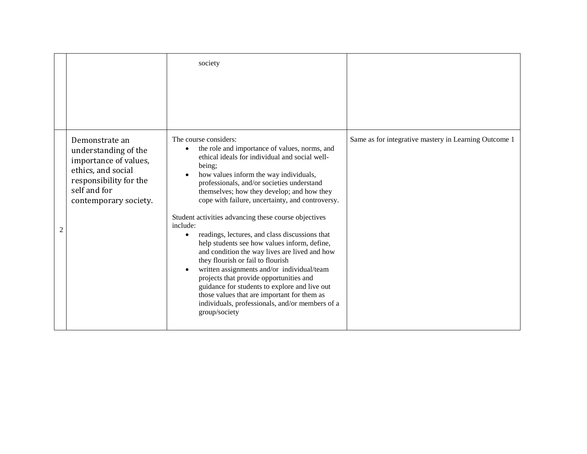|   |                                                                                                                                                          | society                                                                                                                                                                                                                                                                                                                                                                                                                                                                                                                                                                                                                                                                                                                                                                                                                                               |                                                       |
|---|----------------------------------------------------------------------------------------------------------------------------------------------------------|-------------------------------------------------------------------------------------------------------------------------------------------------------------------------------------------------------------------------------------------------------------------------------------------------------------------------------------------------------------------------------------------------------------------------------------------------------------------------------------------------------------------------------------------------------------------------------------------------------------------------------------------------------------------------------------------------------------------------------------------------------------------------------------------------------------------------------------------------------|-------------------------------------------------------|
| 2 | Demonstrate an<br>understanding of the<br>importance of values,<br>ethics, and social<br>responsibility for the<br>self and for<br>contemporary society. | The course considers:<br>the role and importance of values, norms, and<br>ethical ideals for individual and social well-<br>being;<br>how values inform the way individuals,<br>professionals, and/or societies understand<br>themselves; how they develop; and how they<br>cope with failure, uncertainty, and controversy.<br>Student activities advancing these course objectives<br>include:<br>readings, lectures, and class discussions that<br>help students see how values inform, define,<br>and condition the way lives are lived and how<br>they flourish or fail to flourish<br>written assignments and/or individual/team<br>projects that provide opportunities and<br>guidance for students to explore and live out<br>those values that are important for them as<br>individuals, professionals, and/or members of a<br>group/society | Same as for integrative mastery in Learning Outcome 1 |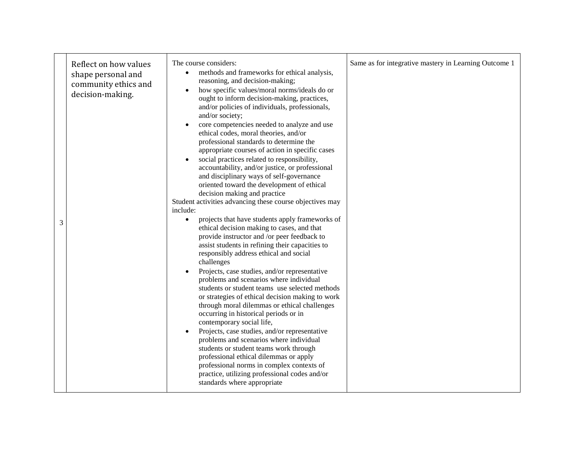|   | Reflect on how values<br>shape personal and<br>community ethics and<br>decision-making. | The course considers:<br>methods and frameworks for ethical analysis,<br>$\bullet$<br>reasoning, and decision-making;<br>how specific values/moral norms/ideals do or<br>$\bullet$<br>ought to inform decision-making, practices,<br>and/or policies of individuals, professionals,<br>and/or society;<br>core competencies needed to analyze and use<br>ethical codes, moral theories, and/or<br>professional standards to determine the<br>appropriate courses of action in specific cases<br>social practices related to responsibility,<br>accountability, and/or justice, or professional<br>and disciplinary ways of self-governance<br>oriented toward the development of ethical<br>decision making and practice<br>Student activities advancing these course objectives may                                                                                                                                  | Same as for integrative mastery in Learning Outcome 1 |
|---|-----------------------------------------------------------------------------------------|-----------------------------------------------------------------------------------------------------------------------------------------------------------------------------------------------------------------------------------------------------------------------------------------------------------------------------------------------------------------------------------------------------------------------------------------------------------------------------------------------------------------------------------------------------------------------------------------------------------------------------------------------------------------------------------------------------------------------------------------------------------------------------------------------------------------------------------------------------------------------------------------------------------------------|-------------------------------------------------------|
| 3 |                                                                                         | include:<br>projects that have students apply frameworks of<br>$\bullet$<br>ethical decision making to cases, and that<br>provide instructor and /or peer feedback to<br>assist students in refining their capacities to<br>responsibly address ethical and social<br>challenges<br>Projects, case studies, and/or representative<br>problems and scenarios where individual<br>students or student teams use selected methods<br>or strategies of ethical decision making to work<br>through moral dilemmas or ethical challenges<br>occurring in historical periods or in<br>contemporary social life,<br>Projects, case studies, and/or representative<br>problems and scenarios where individual<br>students or student teams work through<br>professional ethical dilemmas or apply<br>professional norms in complex contexts of<br>practice, utilizing professional codes and/or<br>standards where appropriate |                                                       |